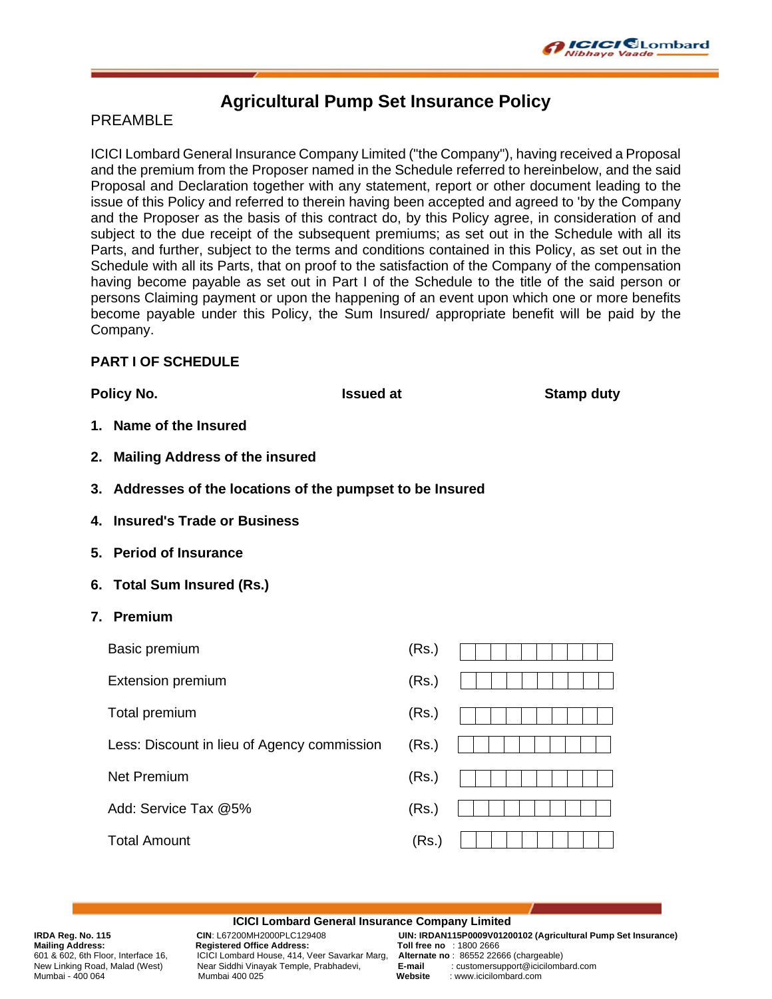

# **Agricultural Pump Set Insurance Policy**

## PRFAMBL<sub>F</sub>

ICICI Lombard General Insurance Company Limited ("the Company"), having received a Proposal and the premium from the Proposer named in the Schedule referred to hereinbelow, and the said Proposal and Declaration together with any statement, report or other document leading to the issue of this Policy and referred to therein having been accepted and agreed to 'by the Company and the Proposer as the basis of this contract do, by this Policy agree, in consideration of and subject to the due receipt of the subsequent premiums; as set out in the Schedule with all its Parts, and further, subject to the terms and conditions contained in this Policy, as set out in the Schedule with all its Parts, that on proof to the satisfaction of the Company of the compensation having become payable as set out in Part I of the Schedule to the title of the said person or persons Claiming payment or upon the happening of an event upon which one or more benefits become payable under this Policy, the Sum Insured/ appropriate benefit will be paid by the Company.

### **PART I OF SCHEDULE**

**Policy No. ISSUE At A ISSUE AT A Stamp duty Policy No. 1997** 

- **1. Name of the Insured**
- **2. Mailing Address of the insured**
- **3. Addresses of the locations of the pumpset to be Insured**
- **4. Insured's Trade or Business**
- **5. Period of Insurance**
- **6. Total Sum Insured (Rs.)**
- **7. Premium**

| Basic premium                               | (Rs.) |  |
|---------------------------------------------|-------|--|
| <b>Extension premium</b>                    | (Rs.) |  |
| Total premium                               | (Rs.) |  |
| Less: Discount in lieu of Agency commission | (Rs.) |  |
| Net Premium                                 | (Rs.) |  |
| Add: Service Tax @5%                        | (Rs.) |  |
| Total Amount                                | (Rs.) |  |
|                                             |       |  |

#### **ICICI Lombard General Insurance Company Limited**

Mailing Address: Registered Office Address: Toll free no : 1800 2666<br>601 & 602, 6th Floor, Interface 16, ICICI Lombard House, 414, Veer Savarkar Marg, Alternate no: 86552 22666 (chargeable) New Linking Road, Malad (West) Near Siddhi Vinayak Temple, Prabhadevi, **E-mail** : customersupport<br>Mumbai - 400.064 Mumbard.com

**IRDA Reg. No. 115 CIN**: L67200MH2000PLC129408 **UIN: IRDAN115P0009V01200102 (Agricultural Pump Set Insurance)** 601 & 602, 6th Floor, Interface 16, ICICI Lombard House, 414, Veer Savarkar Marg, **Alternate no** : 86552 22666 (chargeable) Mumbai - 400 064 Mumbai 400 025 **Website** : www.icicilombard.com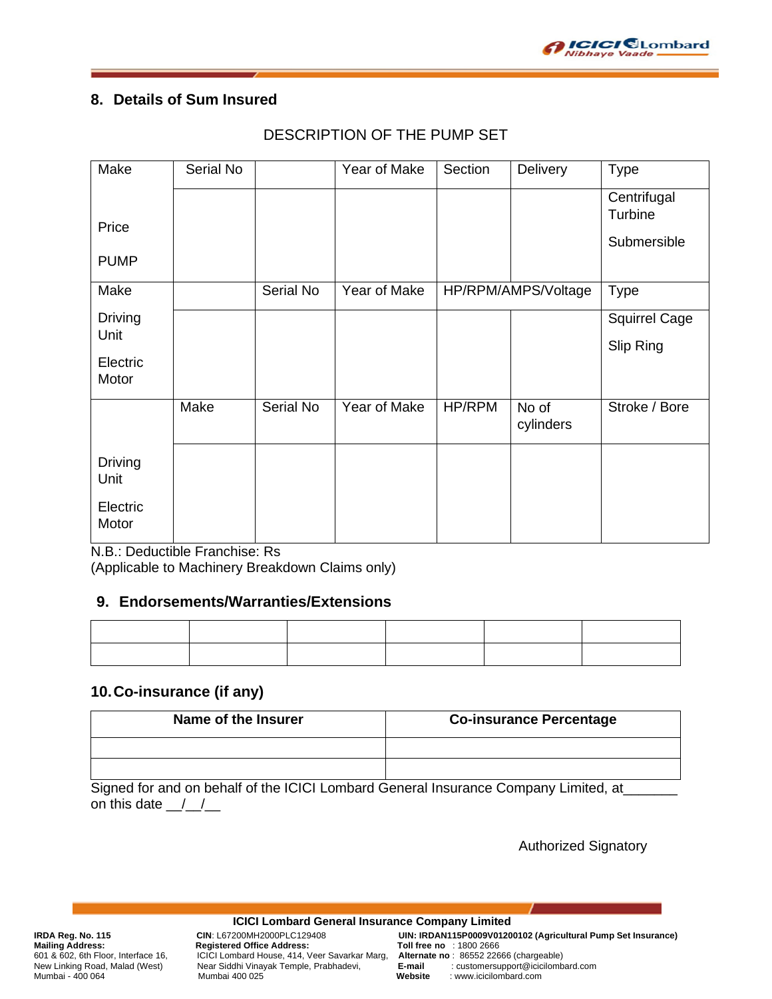

# **8. Details of Sum Insured**

| DESCRIPTION OF THE PUMP SET |  |
|-----------------------------|--|
|-----------------------------|--|

| Make                   | Serial No |           | Year of Make | Section | Delivery            | <b>Type</b>            |
|------------------------|-----------|-----------|--------------|---------|---------------------|------------------------|
|                        |           |           |              |         |                     | Centrifugal<br>Turbine |
| Price                  |           |           |              |         |                     |                        |
| <b>PUMP</b>            |           |           |              |         |                     | Submersible            |
| Make                   |           | Serial No | Year of Make |         | HP/RPM/AMPS/Voltage | <b>Type</b>            |
| <b>Driving</b>         |           |           |              |         |                     | Squirrel Cage          |
| Unit                   |           |           |              |         |                     | Slip Ring              |
| Electric<br>Motor      |           |           |              |         |                     |                        |
|                        | Make      | Serial No | Year of Make | HP/RPM  | No of<br>cylinders  | Stroke / Bore          |
| <b>Driving</b><br>Unit |           |           |              |         |                     |                        |
| Electric<br>Motor      |           |           |              |         |                     |                        |

N.B.: Deductible Franchise: Rs

(Applicable to Machinery Breakdown Claims only)

# **9. Endorsements/Warranties/Extensions**

# **10.Co-insurance (if any)**

| Name of the Insurer | <b>Co-insurance Percentage</b> |
|---------------------|--------------------------------|
|                     |                                |
|                     |                                |

Signed for and on behalf of the ICICI Lombard General Insurance Company Limited, at\_\_\_\_ on this date  $\frac{1}{\sqrt{2}}$ 

Authorized Signatory

Mailing Address: Registered Office Address: Toll free no : 1800 2666<br>601 & 602, 6th Floor, Interface 16, ICICI Lombard House, 414, Veer Savarkar Marg, Alternate no: 86552 22666 (chargeable) New Linking Road, Malad (West) Near Siddhi Vinayak Temple, Prabhadevi, **E-mail** : customersupport@icicilombard.com

**ICICI Lombard General Insurance Company Limited IRDA Reg. No. 115 CIN**: L67200MH2000PLC129408 **UIN: IRDAN115P0009V01200102 (Agricultural Pump Set Insurance)** 601 & 602, 6th Floor, Interface 16, ICICI Lombard House, 414, Veer Savarkar Marg, **Alternate no** : 86552 22666 (chargeable) Mumbai - 400 064 Mumbai 400 025 **Website** : www.icicilombard.com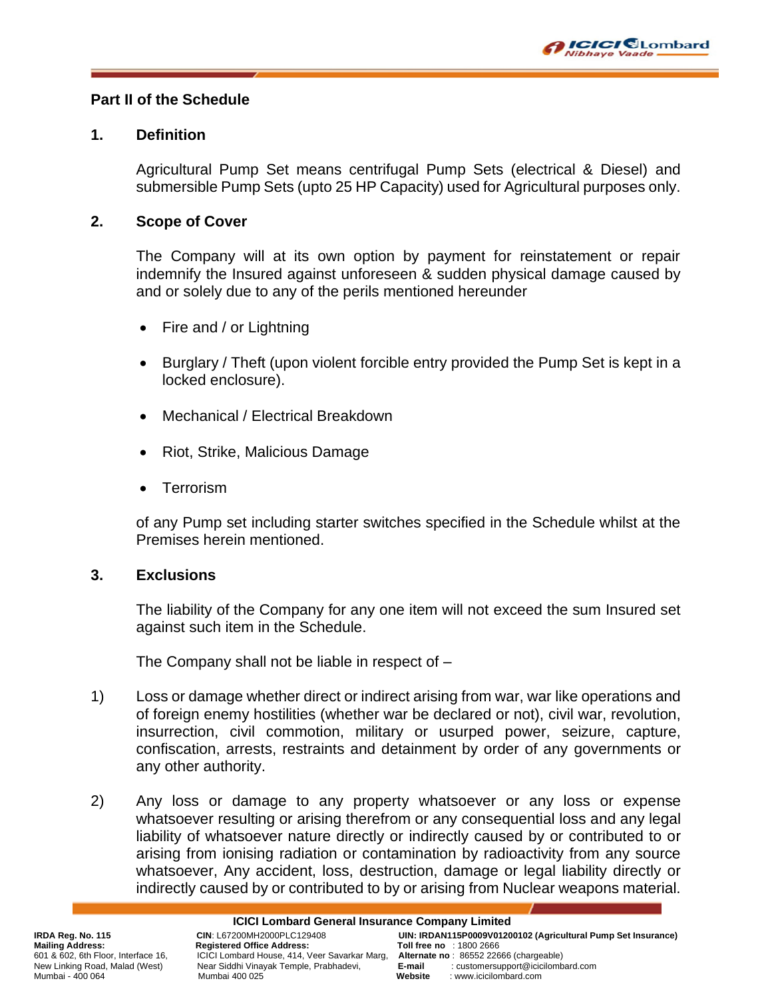

# **Part II of the Schedule**

## **1. Definition**

Agricultural Pump Set means centrifugal Pump Sets (electrical & Diesel) and submersible Pump Sets (upto 25 HP Capacity) used for Agricultural purposes only.

## **2. Scope of Cover**

The Company will at its own option by payment for reinstatement or repair indemnify the Insured against unforeseen & sudden physical damage caused by and or solely due to any of the perils mentioned hereunder

- Fire and / or Lightning
- Burglary / Theft (upon violent forcible entry provided the Pump Set is kept in a locked enclosure).
- Mechanical / Electrical Breakdown
- Riot, Strike, Malicious Damage
- **Terrorism**

of any Pump set including starter switches specified in the Schedule whilst at the Premises herein mentioned.

# **3. Exclusions**

The liability of the Company for any one item will not exceed the sum Insured set against such item in the Schedule.

The Company shall not be liable in respect of –

- 1) Loss or damage whether direct or indirect arising from war, war like operations and of foreign enemy hostilities (whether war be declared or not), civil war, revolution, insurrection, civil commotion, military or usurped power, seizure, capture, confiscation, arrests, restraints and detainment by order of any governments or any other authority.
- 2) Any loss or damage to any property whatsoever or any loss or expense whatsoever resulting or arising therefrom or any consequential loss and any legal liability of whatsoever nature directly or indirectly caused by or contributed to or arising from ionising radiation or contamination by radioactivity from any source whatsoever, Any accident, loss, destruction, damage or legal liability directly or indirectly caused by or contributed to by or arising from Nuclear weapons material.

601 & 602, 6th Floor, Interface 16, ICICI Lombard House, 414, Veer Savarkar Marg, **Alternate no** : 86552 22666 (chargeable) New Linking Road, Malad (West) Near Siddhi Vinayak Temple, Prabhadevi, **E-mail** : customersupport of the mail in Mumbard.com<br>Mumbai - 400 064 Mumbard.com

Mumbai - 400 064 Mumbai 400 025 **Website** : www.icicilombard.com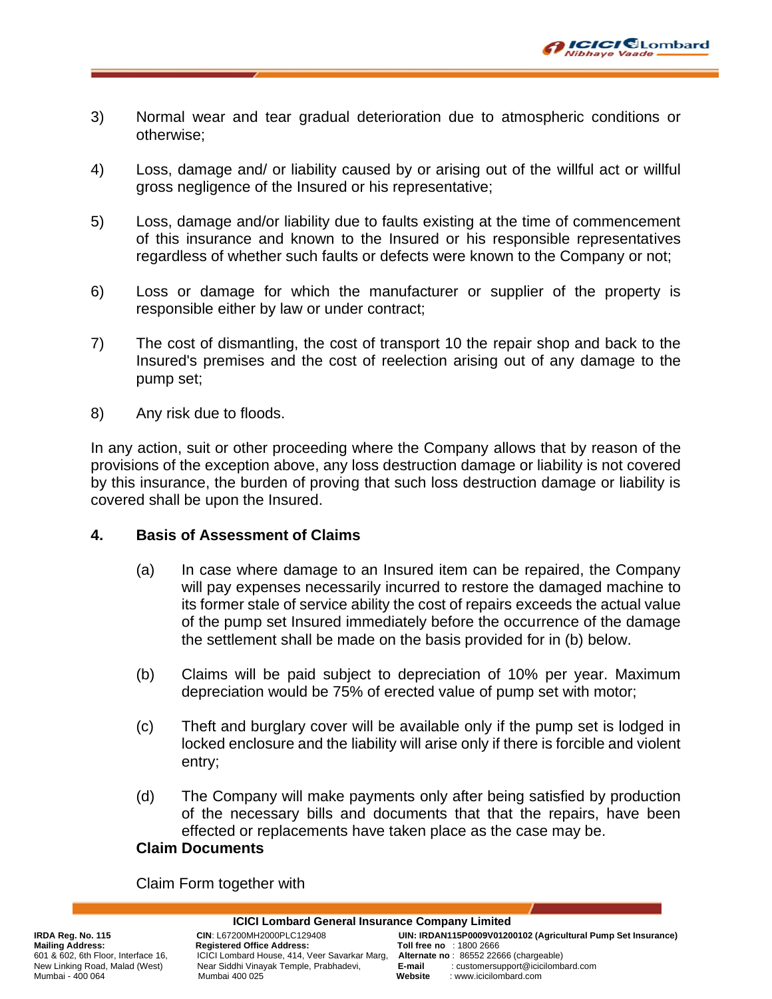

- 3) Normal wear and tear gradual deterioration due to atmospheric conditions or otherwise;
- 4) Loss, damage and/ or liability caused by or arising out of the willful act or willful gross negligence of the Insured or his representative;
- 5) Loss, damage and/or liability due to faults existing at the time of commencement of this insurance and known to the Insured or his responsible representatives regardless of whether such faults or defects were known to the Company or not;
- 6) Loss or damage for which the manufacturer or supplier of the property is responsible either by law or under contract;
- 7) The cost of dismantling, the cost of transport 10 the repair shop and back to the Insured's premises and the cost of reelection arising out of any damage to the pump set;
- 8) Any risk due to floods.

In any action, suit or other proceeding where the Company allows that by reason of the provisions of the exception above, any loss destruction damage or liability is not covered by this insurance, the burden of proving that such loss destruction damage or liability is covered shall be upon the Insured.

# **4. Basis of Assessment of Claims**

- (a) In case where damage to an Insured item can be repaired, the Company will pay expenses necessarily incurred to restore the damaged machine to its former stale of service ability the cost of repairs exceeds the actual value of the pump set Insured immediately before the occurrence of the damage the settlement shall be made on the basis provided for in (b) below.
- (b) Claims will be paid subject to depreciation of 10% per year. Maximum depreciation would be 75% of erected value of pump set with motor;
- (c) Theft and burglary cover will be available only if the pump set is lodged in locked enclosure and the liability will arise only if there is forcible and violent entry;
- (d) The Company will make payments only after being satisfied by production of the necessary bills and documents that that the repairs, have been effected or replacements have taken place as the case may be.

# **Claim Documents**

Claim Form together with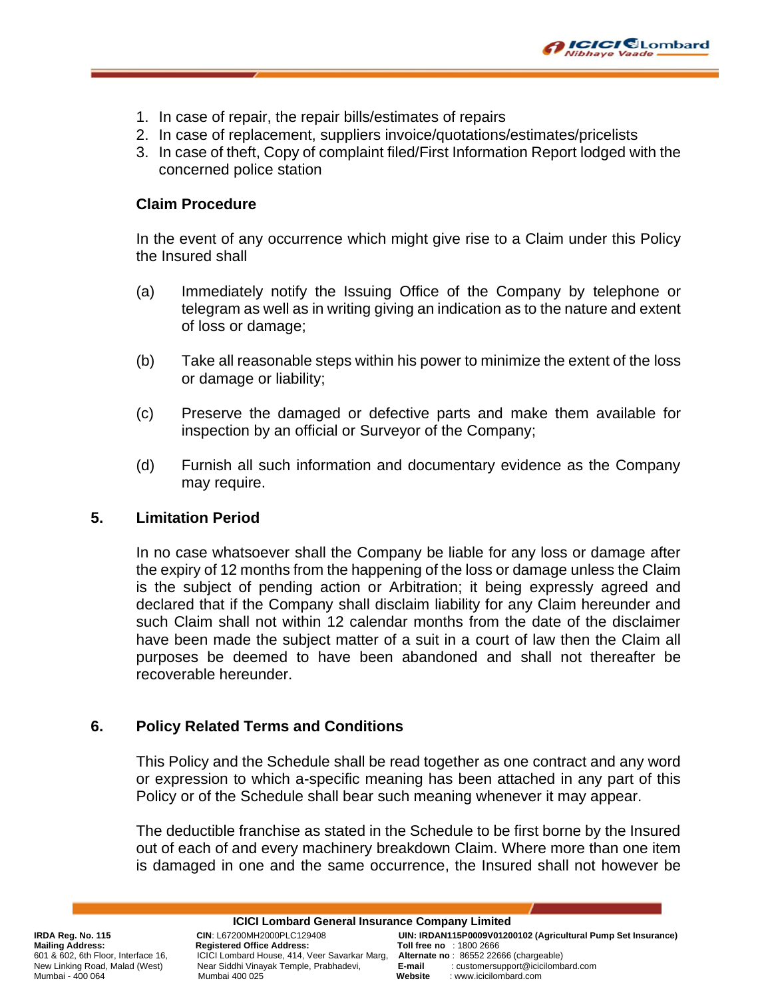

- 1. In case of repair, the repair bills/estimates of repairs
- 2. In case of replacement, suppliers invoice/quotations/estimates/pricelists
- 3. In case of theft, Copy of complaint filed/First Information Report lodged with the concerned police station

# **Claim Procedure**

In the event of any occurrence which might give rise to a Claim under this Policy the Insured shall

- (a) Immediately notify the Issuing Office of the Company by telephone or telegram as well as in writing giving an indication as to the nature and extent of loss or damage;
- (b) Take all reasonable steps within his power to minimize the extent of the loss or damage or liability;
- (c) Preserve the damaged or defective parts and make them available for inspection by an official or Surveyor of the Company;
- (d) Furnish all such information and documentary evidence as the Company may require.

# **5. Limitation Period**

In no case whatsoever shall the Company be liable for any loss or damage after the expiry of 12 months from the happening of the loss or damage unless the Claim is the subject of pending action or Arbitration; it being expressly agreed and declared that if the Company shall disclaim liability for any Claim hereunder and such Claim shall not within 12 calendar months from the date of the disclaimer have been made the subject matter of a suit in a court of law then the Claim all purposes be deemed to have been abandoned and shall not thereafter be recoverable hereunder.

# **6. Policy Related Terms and Conditions**

This Policy and the Schedule shall be read together as one contract and any word or expression to which a-specific meaning has been attached in any part of this Policy or of the Schedule shall bear such meaning whenever it may appear.

The deductible franchise as stated in the Schedule to be first borne by the Insured out of each of and every machinery breakdown Claim. Where more than one item is damaged in one and the same occurrence, the Insured shall not however be

**ICICI Lombard General Insurance Company Limited** New Linking Road, Malad (West) Near Siddhi Vinayak Temple, Prabhadevi, **E-mail** : customersupport<br>Mumbai - 400.064 Mumbard.com

**IRDA Reg. No. 115 CIN**: L67200MH2000PLC129408 **UIN: IRDAN115P0009V01200102 (Agricultural Pump Set Insurance)** Mailing Address: Registered Office Address: Toll free no : 1800 2666<br>601 & 602, 6th Floor, Interface 16, ICICI Lombard House, 414, Veer Savarkar Marg, Alternate no: 86552 22666 (chargeable) 601 & 602, 6th Floor, Interface 16, ICICI Lombard House, 414, Veer Savarkar Marg, **Alternate no** : 86552 22666 (chargeable) Mumbai - 400 064 Mumbai 400 025 **Website** : www.icicilombard.com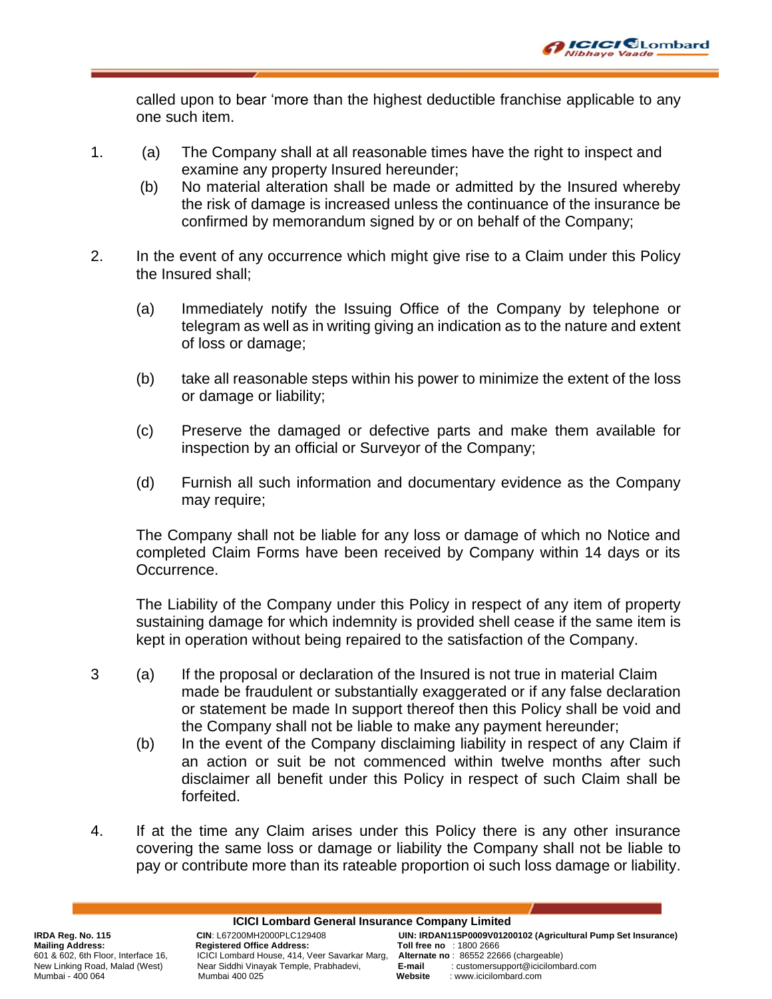

called upon to bear 'more than the highest deductible franchise applicable to any one such item.

- 1. (a) The Company shall at all reasonable times have the right to inspect and examine any property Insured hereunder;
	- (b) No material alteration shall be made or admitted by the Insured whereby the risk of damage is increased unless the continuance of the insurance be confirmed by memorandum signed by or on behalf of the Company;
- 2. In the event of any occurrence which might give rise to a Claim under this Policy the Insured shall;
	- (a) Immediately notify the Issuing Office of the Company by telephone or telegram as well as in writing giving an indication as to the nature and extent of loss or damage;
	- (b) take all reasonable steps within his power to minimize the extent of the loss or damage or liability;
	- (c) Preserve the damaged or defective parts and make them available for inspection by an official or Surveyor of the Company;
	- (d) Furnish all such information and documentary evidence as the Company may require;

The Company shall not be liable for any loss or damage of which no Notice and completed Claim Forms have been received by Company within 14 days or its Occurrence.

The Liability of the Company under this Policy in respect of any item of property sustaining damage for which indemnity is provided shell cease if the same item is kept in operation without being repaired to the satisfaction of the Company.

- 3 (a) If the proposal or declaration of the Insured is not true in material Claim made be fraudulent or substantially exaggerated or if any false declaration or statement be made In support thereof then this Policy shall be void and the Company shall not be liable to make any payment hereunder;
	- (b) In the event of the Company disclaiming liability in respect of any Claim if an action or suit be not commenced within twelve months after such disclaimer all benefit under this Policy in respect of such Claim shall be forfeited.
- 4. If at the time any Claim arises under this Policy there is any other insurance covering the same loss or damage or liability the Company shall not be liable to pay or contribute more than its rateable proportion oi such loss damage or liability.

New Linking Road, Malad (West) Near Siddhi Vinayak Temple, Prabhadevi, **E-mail** : customersupport<br>Mumbai - 400.064 Mumbard.com

**ICICI Lombard General Insurance Company Limited IRDA Reg. No. 115 CIN**: L67200MH2000PLC129408 **UIN: IRDAN115P0009V01200102 (Agricultural Pump Set Insurance)** Mailing Address: Registered Office Address: Toll free no : 1800 2666<br>601 & 602, 6th Floor, Interface 16, ICICI Lombard House, 414, Veer Savarkar Marg, Alternate no: 86552 22666 (chargeable) 601 & 602, 6th Floor, Interface 16, ICICI Lombard House, 414, Veer Savarkar Marg, **Alternate no** : 86552 22666 (chargeable)

Mumbai - 400 064 Mumbai 400 025 **Website** : www.icicilombard.com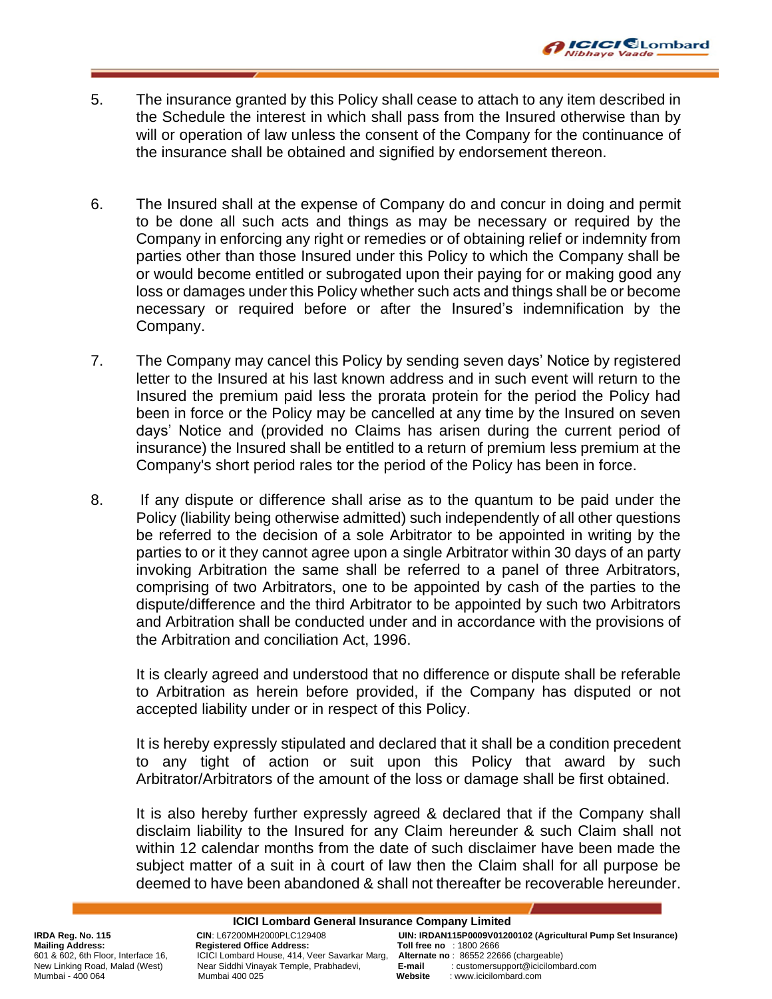

- 5. The insurance granted by this Policy shall cease to attach to any item described in the Schedule the interest in which shall pass from the Insured otherwise than by will or operation of law unless the consent of the Company for the continuance of the insurance shall be obtained and signified by endorsement thereon.
- 6. The Insured shall at the expense of Company do and concur in doing and permit to be done all such acts and things as may be necessary or required by the Company in enforcing any right or remedies or of obtaining relief or indemnity from parties other than those Insured under this Policy to which the Company shall be or would become entitled or subrogated upon their paying for or making good any loss or damages under this Policy whether such acts and things shall be or become necessary or required before or after the Insured's indemnification by the Company.
- 7. The Company may cancel this Policy by sending seven days' Notice by registered letter to the Insured at his last known address and in such event will return to the Insured the premium paid less the prorata protein for the period the Policy had been in force or the Policy may be cancelled at any time by the Insured on seven days' Notice and (provided no Claims has arisen during the current period of insurance) the Insured shall be entitled to a return of premium less premium at the Company's short period rales tor the period of the Policy has been in force.
- 8. If any dispute or difference shall arise as to the quantum to be paid under the Policy (liability being otherwise admitted) such independently of all other questions be referred to the decision of a sole Arbitrator to be appointed in writing by the parties to or it they cannot agree upon a single Arbitrator within 30 days of an party invoking Arbitration the same shall be referred to a panel of three Arbitrators, comprising of two Arbitrators, one to be appointed by cash of the parties to the dispute/difference and the third Arbitrator to be appointed by such two Arbitrators and Arbitration shall be conducted under and in accordance with the provisions of the Arbitration and conciliation Act, 1996.

It is clearly agreed and understood that no difference or dispute shall be referable to Arbitration as herein before provided, if the Company has disputed or not accepted liability under or in respect of this Policy.

It is hereby expressly stipulated and declared that it shall be a condition precedent to any tight of action or suit upon this Policy that award by such Arbitrator/Arbitrators of the amount of the loss or damage shall be first obtained.

It is also hereby further expressly agreed & declared that if the Company shall disclaim liability to the Insured for any Claim hereunder & such Claim shall not within 12 calendar months from the date of such disclaimer have been made the subject matter of a suit in à court of law then the Claim shall for all purpose be deemed to have been abandoned & shall not thereafter be recoverable hereunder.

**ICICI Lombard General Insurance Company Limited** New Linking Road, Malad (West) Near Siddhi Vinayak Temple, Prabhadevi, **E-mail** : customersupport<br>Mumbai - 400.064 Mumbard.com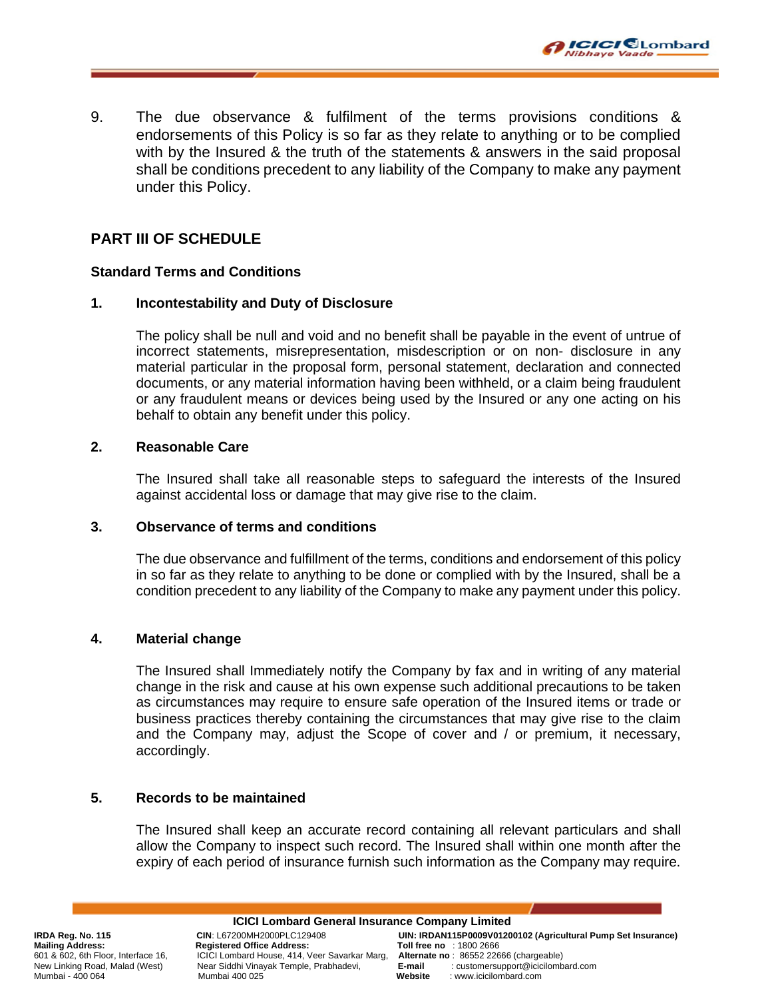

9. The due observance & fulfilment of the terms provisions conditions & endorsements of this Policy is so far as they relate to anything or to be complied with by the Insured & the truth of the statements & answers in the said proposal shall be conditions precedent to any liability of the Company to make any payment under this Policy.

# **PART III OF SCHEDULE**

### **Standard Terms and Conditions**

### **1. Incontestability and Duty of Disclosure**

The policy shall be null and void and no benefit shall be payable in the event of untrue of incorrect statements, misrepresentation, misdescription or on non- disclosure in any material particular in the proposal form, personal statement, declaration and connected documents, or any material information having been withheld, or a claim being fraudulent or any fraudulent means or devices being used by the Insured or any one acting on his behalf to obtain any benefit under this policy.

### **2. Reasonable Care**

The Insured shall take all reasonable steps to safeguard the interests of the Insured against accidental loss or damage that may give rise to the claim.

#### **3. Observance of terms and conditions**

The due observance and fulfillment of the terms, conditions and endorsement of this policy in so far as they relate to anything to be done or complied with by the Insured, shall be a condition precedent to any liability of the Company to make any payment under this policy.

### **4. Material change**

The Insured shall Immediately notify the Company by fax and in writing of any material change in the risk and cause at his own expense such additional precautions to be taken as circumstances may require to ensure safe operation of the Insured items or trade or business practices thereby containing the circumstances that may give rise to the claim and the Company may, adjust the Scope of cover and / or premium, it necessary, accordingly.

# **5. Records to be maintained**

The Insured shall keep an accurate record containing all relevant particulars and shall allow the Company to inspect such record. The Insured shall within one month after the expiry of each period of insurance furnish such information as the Company may require.

New Linking Road, Malad (West) Near Siddhi Vinayak Temple, Prabhadevi, **E-mail** : customersupport of the mail in Mumbard.com<br>Mumbai - 400 064 Mumbard.com

**ICICI Lombard General Insurance Company Limited IRDA Reg. No. 115 CIN**: L67200MH2000PLC129408 **UIN: IRDAN115P0009V01200102 (Agricultural Pump Set Insurance)** Mailing Address: Registered Office Address: Toll free no : 1800 2666<br>601 & 602, 6th Floor, Interface 16, ICICI Lombard House, 414, Veer Savarkar Marg, Alternate no: 86552 22666 (chargeable) 601 & 602, 6th Floor, Interface 16, ICICI Lombard House, 414, Veer Savarkar Marg, **Alternate no** : 86552 22666 (chargeable) Mumbai - 400 064 Mumbai 400 025 **Website** : www.icicilombard.com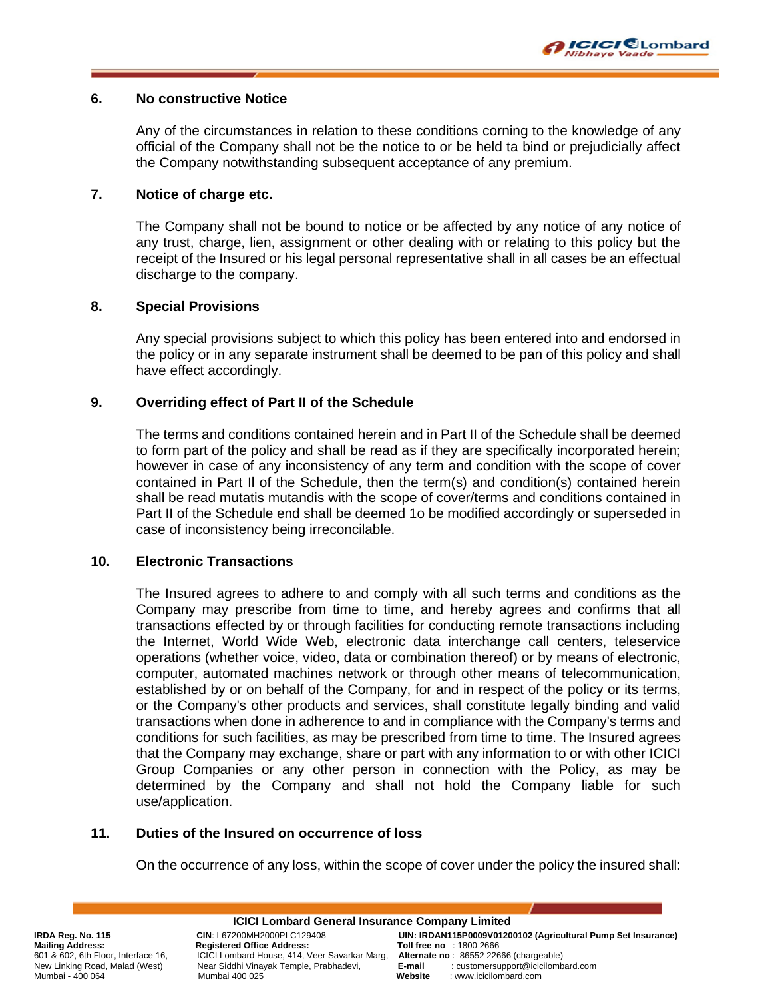

#### **6. No constructive Notice**

Any of the circumstances in relation to these conditions corning to the knowledge of any official of the Company shall not be the notice to or be held ta bind or prejudicially affect the Company notwithstanding subsequent acceptance of any premium.

### **7. Notice of charge etc.**

The Company shall not be bound to notice or be affected by any notice of any notice of any trust, charge, lien, assignment or other dealing with or relating to this policy but the receipt of the Insured or his legal personal representative shall in all cases be an effectual discharge to the company.

#### **8. Special Provisions**

Any special provisions subject to which this policy has been entered into and endorsed in the policy or in any separate instrument shall be deemed to be pan of this policy and shall have effect accordingly.

### **9. Overriding effect of Part II of the Schedule**

The terms and conditions contained herein and in Part II of the Schedule shall be deemed to form part of the policy and shall be read as if they are specifically incorporated herein; however in case of any inconsistency of any term and condition with the scope of cover contained in Part Il of the Schedule, then the term(s) and condition(s) contained herein shall be read mutatis mutandis with the scope of cover/terms and conditions contained in Part II of the Schedule end shall be deemed 1o be modified accordingly or superseded in case of inconsistency being irreconcilable.

#### **10. Electronic Transactions**

The Insured agrees to adhere to and comply with all such terms and conditions as the Company may prescribe from time to time, and hereby agrees and confirms that all transactions effected by or through facilities for conducting remote transactions including the Internet, World Wide Web, electronic data interchange call centers, teleservice operations (whether voice, video, data or combination thereof) or by means of electronic, computer, automated machines network or through other means of telecommunication, established by or on behalf of the Company, for and in respect of the policy or its terms, or the Company's other products and services, shall constitute legally binding and valid transactions when done in adherence to and in compliance with the Company's terms and conditions for such facilities, as may be prescribed from time to time. The Insured agrees that the Company may exchange, share or part with any information to or with other ICICI Group Companies or any other person in connection with the Policy, as may be determined by the Company and shall not hold the Company liable for such use/application.

### **11. Duties of the Insured on occurrence of loss**

On the occurrence of any loss, within the scope of cover under the policy the insured shall:

New Linking Road, Malad (West) Near Siddhi Vinayak Temple, Prabhadevi, **E-mail** : customersupport<br>Mumbai - 400.064 Mumbard.com

**ICICI Lombard General Insurance Company Limited IRDA Reg. No. 115 CIN**: L67200MH2000PLC129408 **UIN: IRDAN115P0009V01200102 (Agricultural Pump Set Insurance)** Mailing Address: Registered Office Address: Toll free no : 1800 2666<br>601 & 602, 6th Floor, Interface 16, ICICI Lombard House, 414, Veer Savarkar Marg, Alternate no: 86552 22666 (chargeable) 601 & 602, 6th Floor, Interface 16, ICICI Lombard House, 414, Veer Savarkar Marg, **Alternate no** : 86552 22666 (chargeable) Mumbai - 400 064 Mumbai 400 025 **Website** : www.icicilombard.com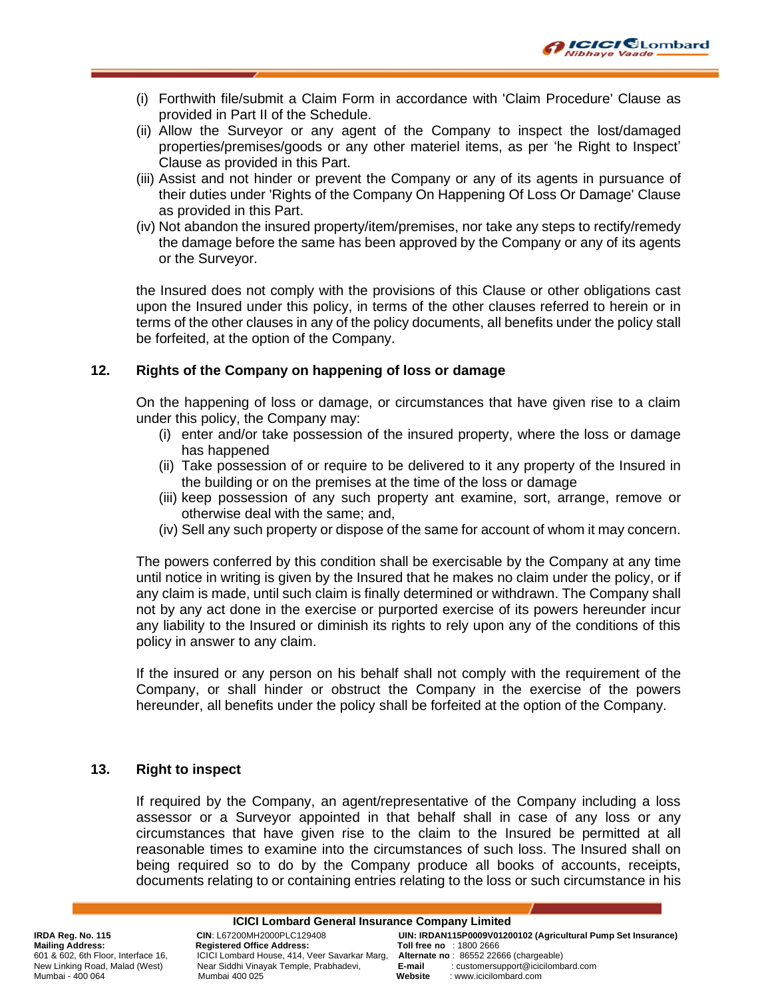

- (i) Forthwith file/submit a Claim Form in accordance with 'Claim Procedure' Clause as provided in Part II of the Schedule.
- (ii) Allow the Surveyor or any agent of the Company to inspect the lost/damaged properties/premises/goods or any other materiel items, as per 'he Right to Inspect' Clause as provided in this Part.
- (iii) Assist and not hinder or prevent the Company or any of its agents in pursuance of their duties under 'Rights of the Company On Happening Of Loss Or Damage' Clause as provided in this Part.
- (iv) Not abandon the insured property/item/premises, nor take any steps to rectify/remedy the damage before the same has been approved by the Company or any of its agents or the Surveyor.

the Insured does not comply with the provisions of this Clause or other obligations cast upon the Insured under this policy, in terms of the other clauses referred to herein or in terms of the other clauses in any of the policy documents, all benefits under the policy stall be forfeited, at the option of the Company.

#### **12. Rights of the Company on happening of loss or damage**

On the happening of loss or damage, or circumstances that have given rise to a claim under this policy, the Company may:

- (i) enter and/or take possession of the insured property, where the loss or damage has happened
- (ii) Take possession of or require to be delivered to it any property of the Insured in the building or on the premises at the time of the loss or damage
- (iii) keep possession of any such property ant examine, sort, arrange, remove or otherwise deal with the same; and,
- (iv) Sell any such property or dispose of the same for account of whom it may concern.

The powers conferred by this condition shall be exercisable by the Company at any time until notice in writing is given by the Insured that he makes no claim under the policy, or if any claim is made, until such claim is finally determined or withdrawn. The Company shall not by any act done in the exercise or purported exercise of its powers hereunder incur any liability to the Insured or diminish its rights to rely upon any of the conditions of this policy in answer to any claim.

If the insured or any person on his behalf shall not comply with the requirement of the Company, or shall hinder or obstruct the Company in the exercise of the powers hereunder, all benefits under the policy shall be forfeited at the option of the Company.

#### **13. Right to inspect**

If required by the Company, an agent/representative of the Company including a loss assessor or a Surveyor appointed in that behalf shall in case of any loss or any circumstances that have given rise to the claim to the Insured be permitted at all reasonable times to examine into the circumstances of such loss. The Insured shall on being required so to do by the Company produce all books of accounts, receipts, documents relating to or containing entries relating to the loss or such circumstance in his

**ICICI Lombard General Insurance Company Limited** Mailing Address: Registered Office Address: Toll free no : 1800 2666<br>601 & 602, 6th Floor, Interface 16, ICICI Lombard House, 414, Veer Savarkar Marg, Alternate no: 86552 22666 (chargeable) New Linking Road, Malad (West) Near Siddhi Vinayak Temple, Prabhadevi, **E-mail** : customersupport of the mail in Mumbard.com<br>Mumbai - 400 064 Mumbard.com

**IRDA Reg. No. 115 CIN**: L67200MH2000PLC129408 **UIN: IRDAN115P0009V01200102 (Agricultural Pump Set Insurance)** 601 & 602, 6th Floor, Interface 16, ICICI Lombard House, 414, Veer Savarkar Marg, **Alternate no** : 86552 22666 (chargeable) : www.icicilombard.com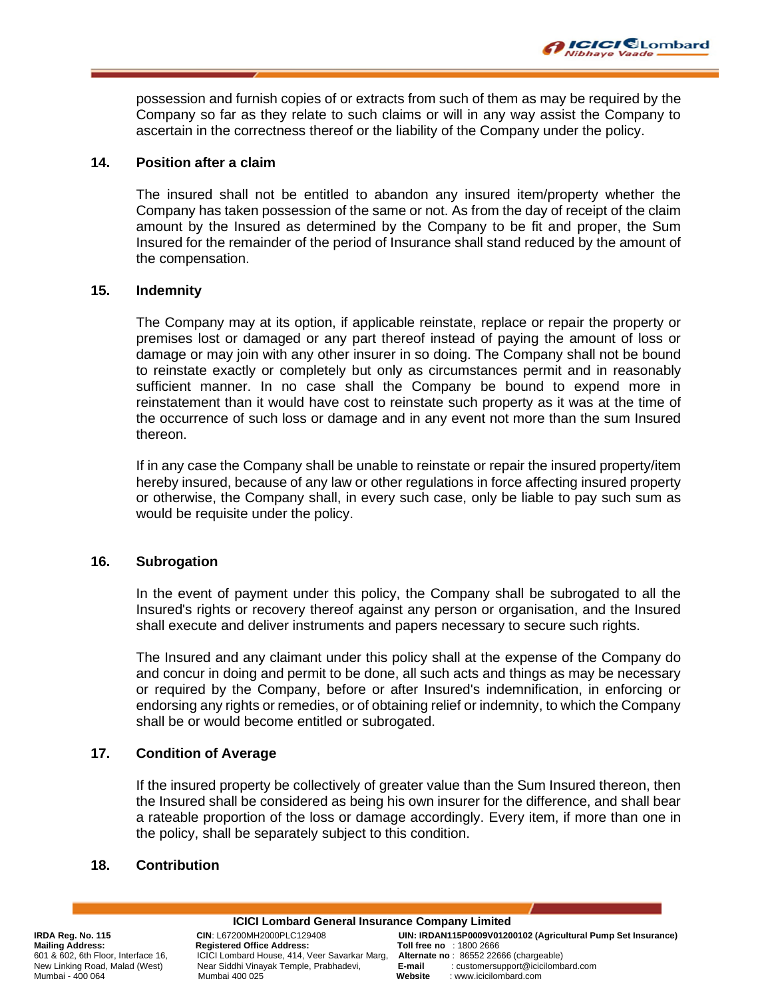possession and furnish copies of or extracts from such of them as may be required by the Company so far as they relate to such claims or will in any way assist the Company to ascertain in the correctness thereof or the liability of the Company under the policy.

**ICICI** CLombard

libhaye Vaade

#### **14. Position after a claim**

The insured shall not be entitled to abandon any insured item/property whether the Company has taken possession of the same or not. As from the day of receipt of the claim amount by the Insured as determined by the Company to be fit and proper, the Sum Insured for the remainder of the period of Insurance shall stand reduced by the amount of the compensation.

#### **15. Indemnity**

The Company may at its option, if applicable reinstate, replace or repair the property or premises lost or damaged or any part thereof instead of paying the amount of loss or damage or may join with any other insurer in so doing. The Company shall not be bound to reinstate exactly or completely but only as circumstances permit and in reasonably sufficient manner. In no case shall the Company be bound to expend more in reinstatement than it would have cost to reinstate such property as it was at the time of the occurrence of such loss or damage and in any event not more than the sum Insured thereon.

If in any case the Company shall be unable to reinstate or repair the insured property/item hereby insured, because of any law or other regulations in force affecting insured property or otherwise, the Company shall, in every such case, only be liable to pay such sum as would be requisite under the policy.

### **16. Subrogation**

In the event of payment under this policy, the Company shall be subrogated to all the Insured's rights or recovery thereof against any person or organisation, and the Insured shall execute and deliver instruments and papers necessary to secure such rights.

The Insured and any claimant under this policy shall at the expense of the Company do and concur in doing and permit to be done, all such acts and things as may be necessary or required by the Company, before or after Insured's indemnification, in enforcing or endorsing any rights or remedies, or of obtaining relief or indemnity, to which the Company shall be or would become entitled or subrogated.

### **17. Condition of Average**

If the insured property be collectively of greater value than the Sum Insured thereon, then the Insured shall be considered as being his own insurer for the difference, and shall bear a rateable proportion of the loss or damage accordingly. Every item, if more than one in the policy, shall be separately subject to this condition.

### **18. Contribution**

New Linking Road, Malad (West) Near Siddhi Vinayak Temple, Prabhadevi, **E-mail** : customersupport<br>Mumbai - 400.064 Mumbard.com

**ICICI Lombard General Insurance Company Limited IRDA Reg. No. 115 CIN**: L67200MH2000PLC129408 **UIN: IRDAN115P0009V01200102 (Agricultural Pump Set Insurance)** Mailing Address: Registered Office Address: Toll free no : 1800 2666<br>601 & 602, 6th Floor, Interface 16, ICICI Lombard House, 414, Veer Savarkar Marg, Alternate no: 86552 22666 (chargeable) 601 & 602, 6th Floor, Interface 16, ICICI Lombard House, 414, Veer Savarkar Marg, **Alternate no** : 86552 22666 (chargeable) : www.icicilombard.com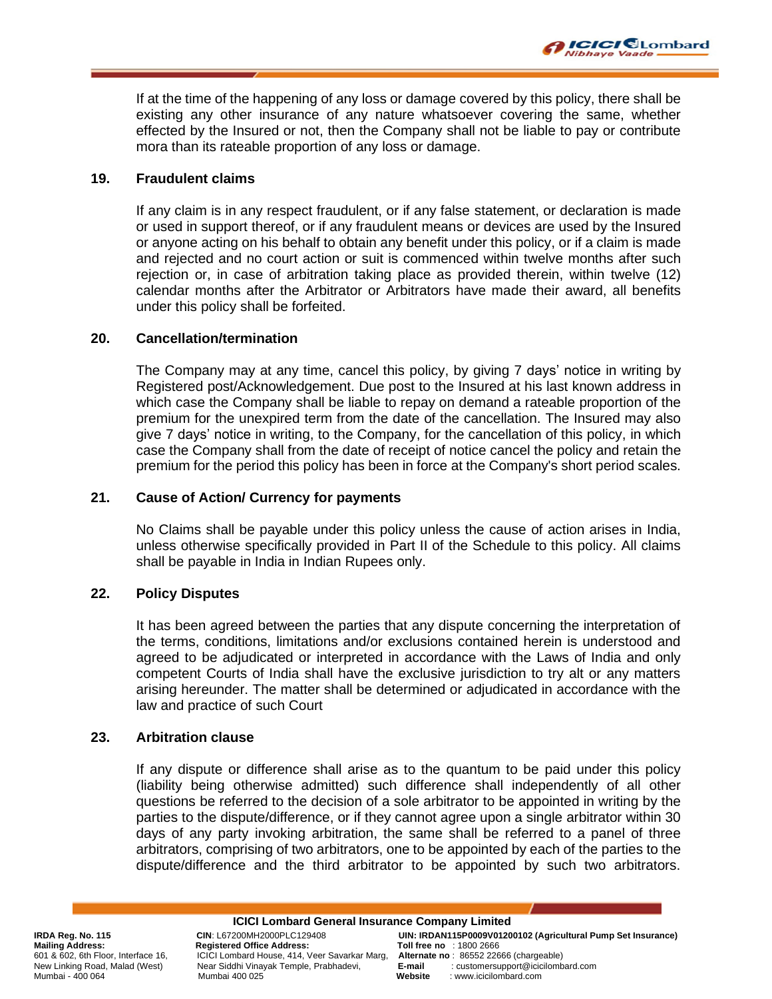If at the time of the happening of any loss or damage covered by this policy, there shall be existing any other insurance of any nature whatsoever covering the same, whether effected by the Insured or not, then the Company shall not be liable to pay or contribute mora than its rateable proportion of any loss or damage.

**ICICI** CLombard

libhaye Vaade

#### **19. Fraudulent claims**

If any claim is in any respect fraudulent, or if any false statement, or declaration is made or used in support thereof, or if any fraudulent means or devices are used by the Insured or anyone acting on his behalf to obtain any benefit under this policy, or if a claim is made and rejected and no court action or suit is commenced within twelve months after such rejection or, in case of arbitration taking place as provided therein, within twelve (12) calendar months after the Arbitrator or Arbitrators have made their award, all benefits under this policy shall be forfeited.

#### **20. Cancellation/termination**

The Company may at any time, cancel this policy, by giving 7 days' notice in writing by Registered post/Acknowledgement. Due post to the Insured at his last known address in which case the Company shall be liable to repay on demand a rateable proportion of the premium for the unexpired term from the date of the cancellation. The Insured may also give 7 days' notice in writing, to the Company, for the cancellation of this policy, in which case the Company shall from the date of receipt of notice cancel the policy and retain the premium for the period this policy has been in force at the Company's short period scales.

#### **21. Cause of Action/ Currency for payments**

No Claims shall be payable under this policy unless the cause of action arises in India, unless otherwise specifically provided in Part II of the Schedule to this policy. All claims shall be payable in India in Indian Rupees only.

#### **22. Policy Disputes**

It has been agreed between the parties that any dispute concerning the interpretation of the terms, conditions, limitations and/or exclusions contained herein is understood and agreed to be adjudicated or interpreted in accordance with the Laws of India and only competent Courts of India shall have the exclusive jurisdiction to try alt or any matters arising hereunder. The matter shall be determined or adjudicated in accordance with the law and practice of such Court

#### **23. Arbitration clause**

If any dispute or difference shall arise as to the quantum to be paid under this policy (liability being otherwise admitted) such difference shall independently of all other questions be referred to the decision of a sole arbitrator to be appointed in writing by the parties to the dispute/difference, or if they cannot agree upon a single arbitrator within 30 days of any party invoking arbitration, the same shall be referred to a panel of three arbitrators, comprising of two arbitrators, one to be appointed by each of the parties to the dispute/difference and the third arbitrator to be appointed by such two arbitrators.

**ICICI Lombard General Insurance Company Limited** Mailing Address: Registered Office Address: Toll free no : 1800 2666<br>601 & 602, 6th Floor, Interface 16, ICICI Lombard House, 414, Veer Savarkar Marg, Alternate no: 86552 22666 (chargeable) New Linking Road, Malad (West) Near Siddhi Vinayak Temple, Prabhadevi, **E-mail** : customersupport of the mail in Mumbard.com<br>Mumbai 400 025

**IRDA Reg. No. 115 CIN**: L67200MH2000PLC129408 **UIN: IRDAN115P0009V01200102 (Agricultural Pump Set Insurance)** 601 & 602, 6th Floor, Interface 16, ICICI Lombard House, 414, Veer Savarkar Marg, **Alternate no** : 86552 22666 (chargeable) Mumbai - 400 064 Mumbai 400 025 **Website** : www.icicilombard.com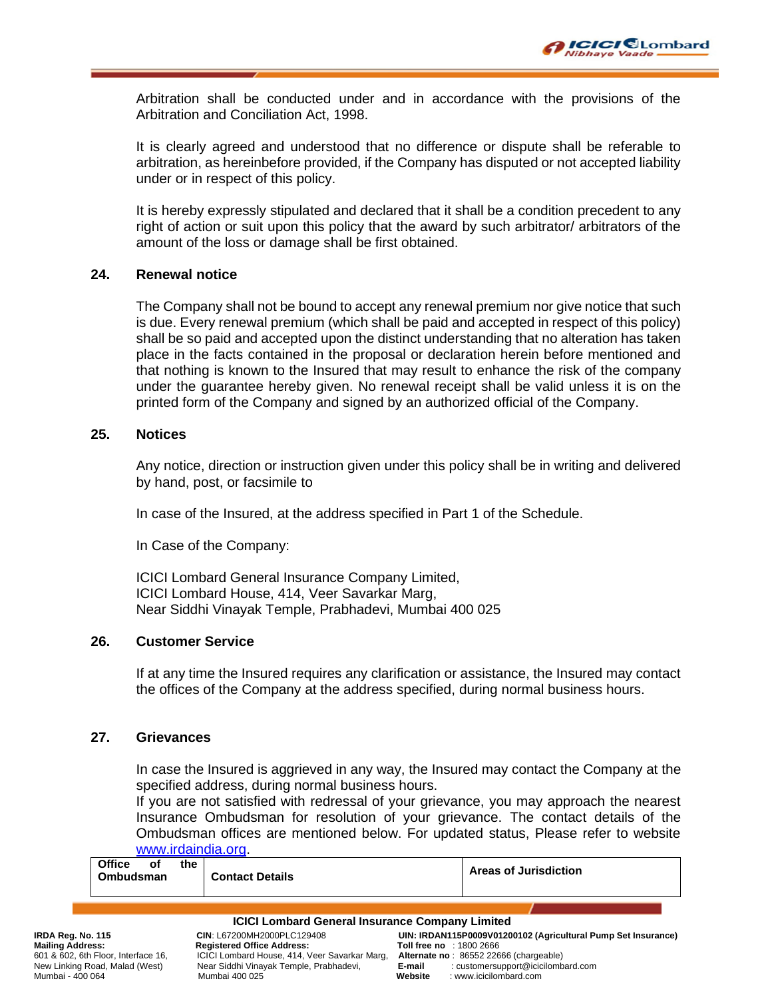Arbitration shall be conducted under and in accordance with the provisions of the Arbitration and Conciliation Act, 1998.

It is clearly agreed and understood that no difference or dispute shall be referable to arbitration, as hereinbefore provided, if the Company has disputed or not accepted liability under or in respect of this policy.

It is hereby expressly stipulated and declared that it shall be a condition precedent to any right of action or suit upon this policy that the award by such arbitrator/ arbitrators of the amount of the loss or damage shall be first obtained.

### **24. Renewal notice**

The Company shall not be bound to accept any renewal premium nor give notice that such is due. Every renewal premium (which shall be paid and accepted in respect of this policy) shall be so paid and accepted upon the distinct understanding that no alteration has taken place in the facts contained in the proposal or declaration herein before mentioned and that nothing is known to the Insured that may result to enhance the risk of the company under the guarantee hereby given. No renewal receipt shall be valid unless it is on the printed form of the Company and signed by an authorized official of the Company.

### **25. Notices**

Any notice, direction or instruction given under this policy shall be in writing and delivered by hand, post, or facsimile to

In case of the Insured, at the address specified in Part 1 of the Schedule.

In Case of the Company:

ICICI Lombard General Insurance Company Limited, ICICI Lombard House, 414, Veer Savarkar Marg, Near Siddhi Vinayak Temple, Prabhadevi, Mumbai 400 025

### **26. Customer Service**

If at any time the Insured requires any clarification or assistance, the Insured may contact the offices of the Company at the address specified, during normal business hours.

### **27. Grievances**

In case the Insured is aggrieved in any way, the Insured may contact the Company at the specified address, during normal business hours.

If you are not satisfied with redressal of your grievance, you may approach the nearest Insurance Ombudsman for resolution of your grievance. The contact details of the Ombudsman offices are mentioned below. For updated status, Please refer to website [www.irdaindia.org.](http://www.irdaindia.org/)

| <b>Office</b>                                                                             | the<br>οf<br><b>Ombudsman</b> | <b>Contact Details</b>                                                                                     |                                 | Areas of Jurisdiction                                                                                  |
|-------------------------------------------------------------------------------------------|-------------------------------|------------------------------------------------------------------------------------------------------------|---------------------------------|--------------------------------------------------------------------------------------------------------|
|                                                                                           |                               | <b>ICICI Lombard General Insurance Company Limited</b>                                                     |                                 |                                                                                                        |
| IRDA Reg. No. 115<br><b>Mailing Address:</b>                                              |                               | CIN: L67200MH2000PLC129408<br><b>Registered Office Address:</b>                                            | <b>Toll free no</b> : 1800 2666 | UIN: IRDAN115P0009V01200102 (Agricultural Pump Set Insurance)                                          |
| 601 & 602, 6th Floor, Interface 16,<br>New Linking Road, Malad (West)<br>Mumbai - 400 064 |                               | ICICI Lombard House, 414, Veer Savarkar Marg,<br>Near Siddhi Vinayak Temple, Prabhadevi,<br>Mumbai 400 025 | E-mail<br>Website               | Alternate no: 86552 22666 (chargeable)<br>: customersupport@icicilombard.com<br>: www.icicilombard.com |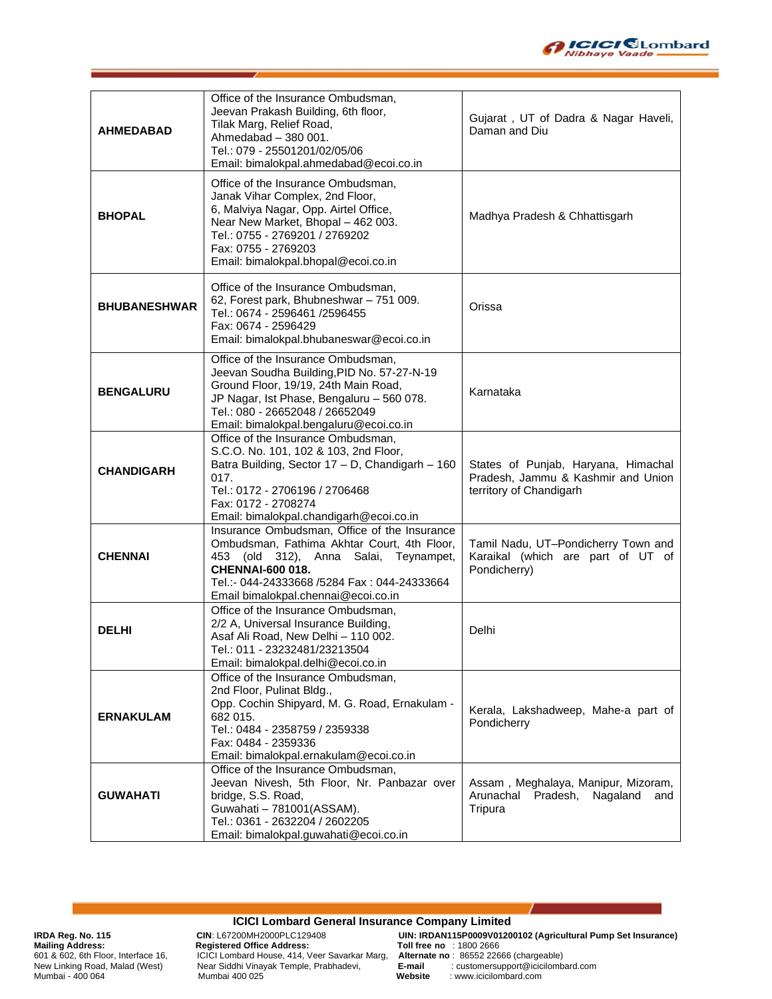

| <b>AHMEDABAD</b>    | Office of the Insurance Ombudsman,<br>Jeevan Prakash Building, 6th floor,<br>Tilak Marg, Relief Road,<br>Ahmedabad - 380 001.<br>Tel.: 079 - 25501201/02/05/06<br>Email: bimalokpal.ahmedabad@ecoi.co.in                                              | Gujarat, UT of Dadra & Nagar Haveli,<br>Daman and Diu                                                |
|---------------------|-------------------------------------------------------------------------------------------------------------------------------------------------------------------------------------------------------------------------------------------------------|------------------------------------------------------------------------------------------------------|
| <b>BHOPAL</b>       | Office of the Insurance Ombudsman,<br>Janak Vihar Complex, 2nd Floor,<br>6, Malviya Nagar, Opp. Airtel Office,<br>Near New Market, Bhopal - 462 003.<br>Tel.: 0755 - 2769201 / 2769202<br>Fax: 0755 - 2769203<br>Email: bimalokpal.bhopal@ecoi.co.in  | Madhya Pradesh & Chhattisgarh                                                                        |
| <b>BHUBANESHWAR</b> | Office of the Insurance Ombudsman,<br>62, Forest park, Bhubneshwar - 751 009.<br>Tel.: 0674 - 2596461 /2596455<br>Fax: 0674 - 2596429<br>Email: bimalokpal.bhubaneswar@ecoi.co.in                                                                     | Orissa                                                                                               |
| <b>BENGALURU</b>    | Office of the Insurance Ombudsman,<br>Jeevan Soudha Building, PID No. 57-27-N-19<br>Ground Floor, 19/19, 24th Main Road,<br>JP Nagar, Ist Phase, Bengaluru - 560 078.<br>Tel.: 080 - 26652048 / 26652049<br>Email: bimalokpal.bengaluru@ecoi.co.in    | Karnataka                                                                                            |
| <b>CHANDIGARH</b>   | Office of the Insurance Ombudsman,<br>S.C.O. No. 101, 102 & 103, 2nd Floor,<br>Batra Building, Sector 17 - D, Chandigarh - 160<br>017.<br>Tel.: 0172 - 2706196 / 2706468<br>Fax: 0172 - 2708274<br>Email: bimalokpal.chandigarh@ecoi.co.in            | States of Punjab, Haryana, Himachal<br>Pradesh, Jammu & Kashmir and Union<br>territory of Chandigarh |
| <b>CHENNAI</b>      | Insurance Ombudsman, Office of the Insurance<br>Ombudsman, Fathima Akhtar Court, 4th Floor,<br>453 (old 312), Anna Salai, Teynampet,<br><b>CHENNAI-600 018.</b><br>Tel.:- 044-24333668 /5284 Fax: 044-24333664<br>Email bimalokpal.chennai@ecoi.co.in | Tamil Nadu, UT-Pondicherry Town and<br>Karaikal (which are part of UT of<br>Pondicherry)             |
| <b>DELHI</b>        | Office of the Insurance Ombudsman,<br>2/2 A, Universal Insurance Building,<br>Asaf Ali Road, New Delhi - 110 002.<br>Tel.: 011 - 23232481/23213504<br>Email: bimalokpal.delhi@ecoi.co.in                                                              | Delhi                                                                                                |
| <b>ERNAKULAM</b>    | Office of the Insurance Ombudsman,<br>2nd Floor, Pulinat Bldg.,<br>Opp. Cochin Shipyard, M. G. Road, Ernakulam -<br>682 015.<br>Tel.: 0484 - 2358759 / 2359338<br>Fax: 0484 - 2359336<br>Email: bimalokpal.ernakulam@ecoi.co.in                       | Kerala, Lakshadweep, Mahe-a part of<br>Pondicherry                                                   |
| <b>GUWAHATI</b>     | Office of the Insurance Ombudsman,<br>Jeevan Nivesh, 5th Floor, Nr. Panbazar over<br>bridge, S.S. Road,<br>Guwahati - 781001 (ASSAM).<br>Tel.: 0361 - 2632204 / 2602205<br>Email: bimalokpal.guwahati@ecoi.co.in                                      | Assam, Meghalaya, Manipur, Mizoram,<br>Arunachal<br>Pradesh,<br>Nagaland<br>and<br>Tripura           |

#### **ICICI Lombard General Insurance Company Limited**

**Mailing Address: Registered Office Address: Toll free no** : 1800 2666 601 & 602, 6th Floor, Interface 16, ICICI Lombard House, 414, Veer Savarkar Marg, **Alternatie no act in a state no act in a**<br>New Linking Road, Malad (West) Near Siddhi Vinayak Temple, Prabhadevi,

**IRDA Reg. No. 115 CIN**: L67200MH2000PLC129408 **UIN: IRDAN115P0009V01200102 (Agricultural Pump Set Insurance)** New Linking Road, Malad (West)<br>
New Linking Road, Malad (West)<br>
Near Siddhi Vinayak Temple, Prabhadevi,<br>
Mumbai - 400 064 Mumbai 400 025 **Website** : www.icicilombard.com<br>
Website : www.icicilombard.com Mumbai - 400 064 Mumbai 400 025 **Website** : www.icicilombard.com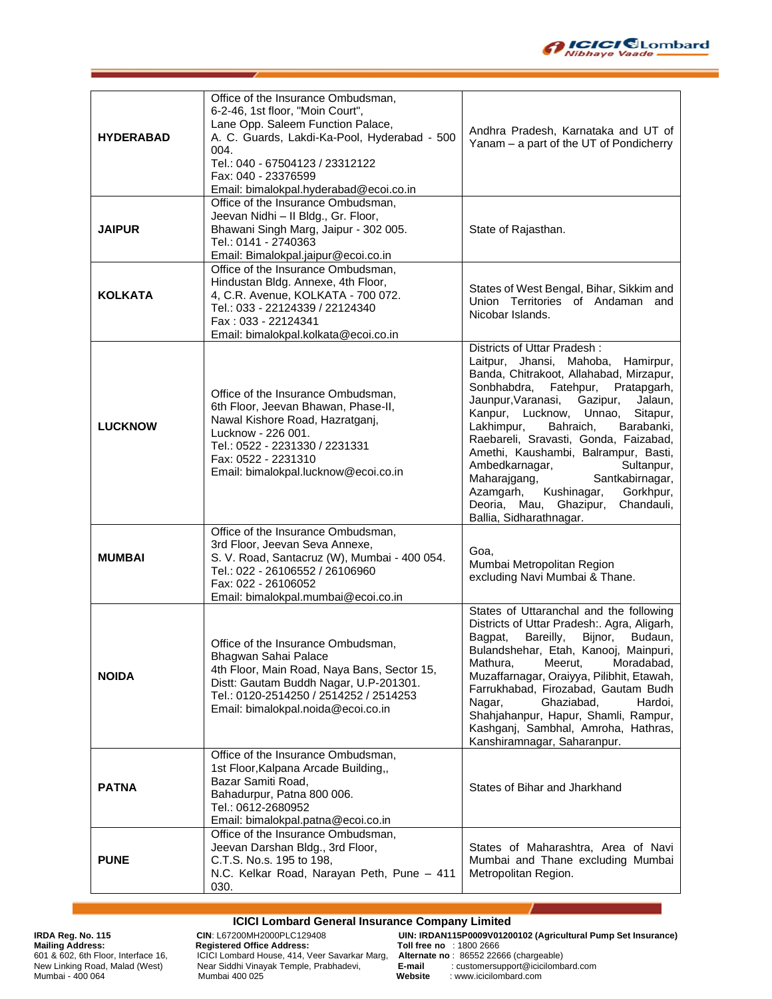

| <b>HYDERABAD</b> | Office of the Insurance Ombudsman,<br>6-2-46, 1st floor, "Moin Court",<br>Lane Opp. Saleem Function Palace,<br>A. C. Guards, Lakdi-Ka-Pool, Hyderabad - 500<br>004.<br>Tel.: 040 - 67504123 / 23312122<br>Fax: 040 - 23376599<br>Email: bimalokpal.hyderabad@ecoi.co.in | Andhra Pradesh, Karnataka and UT of<br>Yanam - a part of the UT of Pondicherry                                                                                                                                                                                                                                                                                                                                                                                                                                                              |
|------------------|-------------------------------------------------------------------------------------------------------------------------------------------------------------------------------------------------------------------------------------------------------------------------|---------------------------------------------------------------------------------------------------------------------------------------------------------------------------------------------------------------------------------------------------------------------------------------------------------------------------------------------------------------------------------------------------------------------------------------------------------------------------------------------------------------------------------------------|
| <b>JAIPUR</b>    | Office of the Insurance Ombudsman,<br>Jeevan Nidhi - II Bldg., Gr. Floor,<br>Bhawani Singh Marg, Jaipur - 302 005.<br>Tel.: 0141 - 2740363<br>Email: Bimalokpal.jaipur@ecoi.co.in                                                                                       | State of Rajasthan.                                                                                                                                                                                                                                                                                                                                                                                                                                                                                                                         |
| <b>KOLKATA</b>   | Office of the Insurance Ombudsman,<br>Hindustan Bldg. Annexe, 4th Floor,<br>4, C.R. Avenue, KOLKATA - 700 072.<br>Tel.: 033 - 22124339 / 22124340<br>Fax: 033 - 22124341<br>Email: bimalokpal.kolkata@ecoi.co.in                                                        | States of West Bengal, Bihar, Sikkim and<br>Union Territories of Andaman and<br>Nicobar Islands.                                                                                                                                                                                                                                                                                                                                                                                                                                            |
| <b>LUCKNOW</b>   | Office of the Insurance Ombudsman,<br>6th Floor, Jeevan Bhawan, Phase-II,<br>Nawal Kishore Road, Hazratganj,<br>Lucknow - 226 001.<br>Tel.: 0522 - 2231330 / 2231331<br>Fax: 0522 - 2231310<br>Email: bimalokpal.lucknow@ecoi.co.in                                     | Districts of Uttar Pradesh:<br>Laitpur, Jhansi, Mahoba, Hamirpur,<br>Banda, Chitrakoot, Allahabad, Mirzapur,<br>Sonbhabdra, Fatehpur, Pratapgarh,<br>Jaunpur, Varanasi,<br>Gazipur,<br>Jalaun,<br>Kanpur, Lucknow, Unnao,<br>Sitapur,<br>Lakhimpur,<br>Bahraich,<br>Barabanki,<br>Raebareli, Sravasti, Gonda, Faizabad,<br>Amethi, Kaushambi, Balrampur, Basti,<br>Ambedkarnagar,<br>Sultanpur,<br>Maharajgang,<br>Santkabirnagar,<br>Azamgarh, Kushinagar,<br>Gorkhpur,<br>Deoria, Mau, Ghazipur,<br>Chandauli,<br>Ballia, Sidharathnagar. |
| <b>MUMBAI</b>    | Office of the Insurance Ombudsman,<br>3rd Floor, Jeevan Seva Annexe,<br>S. V. Road, Santacruz (W), Mumbai - 400 054.<br>Tel.: 022 - 26106552 / 26106960<br>Fax: 022 - 26106052<br>Email: bimalokpal.mumbai@ecoi.co.in                                                   | Goa.<br>Mumbai Metropolitan Region<br>excluding Navi Mumbai & Thane.                                                                                                                                                                                                                                                                                                                                                                                                                                                                        |
| <b>NOIDA</b>     | Office of the Insurance Ombudsman,<br>Bhagwan Sahai Palace<br>4th Floor, Main Road, Naya Bans, Sector 15,<br>Distt: Gautam Buddh Nagar, U.P-201301.<br>Tel.: 0120-2514250 / 2514252 / 2514253<br>Email: bimalokpal.noida@ecoi.co.in                                     | States of Uttaranchal and the following<br>Districts of Uttar Pradesh:. Agra, Aligarh,<br>Bagpat,<br>Bareilly,<br>Bijnor,<br>Budaun,<br>Bulandshehar, Etah, Kanooj, Mainpuri,<br>Meerut,<br>Mathura,<br>Moradabad,<br>Muzaffarnagar, Oraiyya, Pilibhit, Etawah,<br>Farrukhabad, Firozabad, Gautam Budh<br>Nagar,<br>Ghaziabad,<br>Hardoi,<br>Shahjahanpur, Hapur, Shamli, Rampur,<br>Kashganj, Sambhal, Amroha, Hathras,<br>Kanshiramnagar, Saharanpur.                                                                                     |
| <b>PATNA</b>     | Office of the Insurance Ombudsman,<br>1st Floor, Kalpana Arcade Building,<br>Bazar Samiti Road,<br>Bahadurpur, Patna 800 006.<br>Tel.: 0612-2680952<br>Email: bimalokpal.patna@ecoi.co.in                                                                               | States of Bihar and Jharkhand                                                                                                                                                                                                                                                                                                                                                                                                                                                                                                               |
| <b>PUNE</b>      | Office of the Insurance Ombudsman,<br>Jeevan Darshan Bldg., 3rd Floor,<br>C.T.S. No.s. 195 to 198,<br>N.C. Kelkar Road, Narayan Peth, Pune - 411<br>030.                                                                                                                | States of Maharashtra, Area of Navi<br>Mumbai and Thane excluding Mumbai<br>Metropolitan Region.                                                                                                                                                                                                                                                                                                                                                                                                                                            |

#### **ICICI Lombard General Insurance Company Limited**

**Mailing Address: Registered Office Address: Toll free no** : 1800 2666 601 & 602, 6th Floor, Interface 16, ICICI Lombard House, 414, Veer Savarkar Marg, **Alternatie no act in a state no act in a**<br>New Linking Road, Malad (West) Near Siddhi Vinayak Temple, Prabhadevi, New Linking Road, Malad (West)<br>
New Linking Road, Malad (West)<br>
Near Siddhi Vinayak Temple, Prabhadevi,<br>
Mumbai - 400 064 Mumbai 400 025 **Website** : www.icicilombard.com<br>
Website : www.icicilombard.com

**IRDA Reg. No. 115 CIN**: L67200MH2000PLC129408 **UIN: IRDAN115P0009V01200102 (Agricultural Pump Set Insurance)**

Mumbai - 400 064 Mumbai 400 025 **Website** : www.icicilombard.com